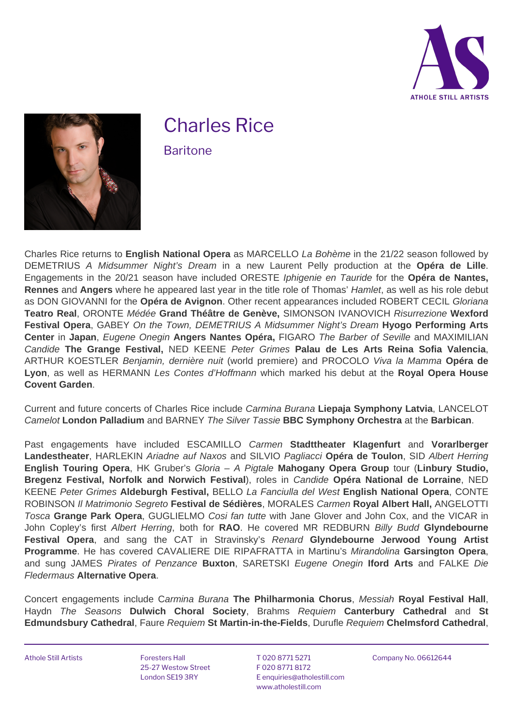



## Charles Rice

**Baritone**

Charles Rice returns to **English National Opera** as MARCELLO La Bohème in the 21/22 season followed by DEMETRIUS A Midsummer Night's Dream in a new Laurent Pelly production at the **Opéra de Lille**. Engagements in the 20/21 season have included ORESTE Iphigenie en Tauride for the **Opéra de Nantes, Rennes** and **Angers** where he appeared last year in the title role of Thomas' Hamlet, as well as his role debut as DON GIOVANNI for the **Opéra de Avignon**. Other recent appearances included ROBERT CECIL Gloriana **Teatro Real**, ORONTE Médée **Grand Théâtre de Genève,** SIMONSON IVANOVICH Risurrezione **Wexford Festival Opera**, GABEY On the Town, DEMETRIUS A Midsummer Night's Dream **Hyogo Performing Arts Center** in **Japan**, Eugene Onegin **Angers Nantes Opéra,** FIGARO The Barber of Seville and MAXIMILIAN Candide **The Grange Festival,** NED KEENE Peter Grimes **Palau de Les Arts Reina Sofia Valencia**, ARTHUR KOESTLER Benjamin, dernière nuit (world premiere) and PROCOLO Viva la Mamma **Opéra de Lyon**, as well as HERMANN Les Contes d'Hoffmann which marked his debut at the **Royal Opera House Covent Garden**.

Current and future concerts of Charles Rice include Carmina Burana **Liepaja Symphony Latvia**, LANCELOT Camelot **London Palladium** and BARNEY The Silver Tassie **BBC Symphony Orchestra** at the **Barbican**.

Past engagements have included ESCAMILLO Carmen **Stadttheater Klagenfurt** and **Vorarlberger Landestheater**, HARLEKIN Ariadne auf Naxos and SILVIO Pagliacci **Opéra de Toulon**, SID Albert Herring **English Touring Opera**, HK Gruber's Gloria – A Pigtale **Mahogany Opera Group** tour (**Linbury Studio, Bregenz Festival, Norfolk and Norwich Festival**), roles in Candide **Opéra National de Lorraine**, NED KEENE Peter Grimes **Aldeburgh Festival,** BELLO La Fanciulla del West **English National Opera**, CONTE ROBINSON Il Matrimonio Segreto **Festival de Sédières**, MORALES Carmen **Royal Albert Hall,** ANGELOTTI Tosca **Grange Park Opera**, GUGLIELMO Cosi fan tutte with Jane Glover and John Cox, and the VICAR in John Copley's first Albert Herring, both for **RAO**. He covered MR REDBURN Billy Budd **Glyndebourne Festival Opera**, and sang the CAT in Stravinsky's Renard **Glyndebourne Jerwood Young Artist Programme**. He has covered CAVALIERE DIE RIPAFRATTA in Martinu's Mirandolina **Garsington Opera**, and sung JAMES Pirates of Penzance **Buxton**, SARETSKI Eugene Onegin **Iford Arts** and FALKE Die Fledermaus **Alternative Opera**.

Concert engagements include Carmina Burana **The Philharmonia Chorus**, Messiah **Royal Festival Hall**, Haydn The Seasons **Dulwich Choral Society**, Brahms Requiem **Canterbury Cathedral** and **St Edmundsbury Cathedral**, Faure Requiem **St Martin-in-the-Fields**, Durufle Requiem **Chelmsford Cathedral**,

Athole Still Artists **Foresters Hall** 

25-27 Westow Street London SE19 3RY

T 020 8771 5271 F 020 8771 8172 E [enquiries@atholestill.com](mailto:enquiries@atholestill.com) www.atholestill.com

Company No. 06612644